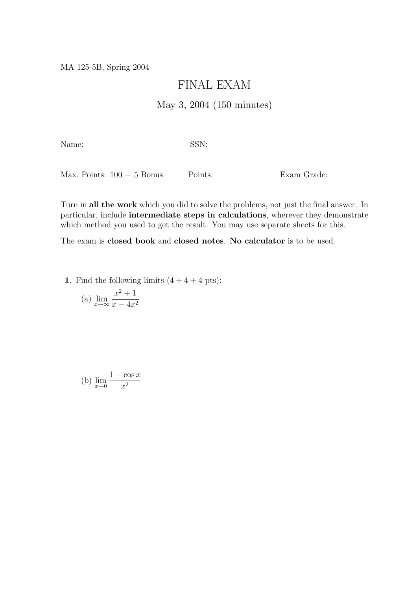MA 125-5B, Spring 2004

## FINAL EXAM

## May 3, 2004 (150 minutes)

Name: SSN:

Max. Points:  $100 + 5$  Bonus Points: Exam Grade:

Turn in all the work which you did to solve the problems, not just the final answer. In particular, include intermediate steps in calculations, wherever they demonstrate which method you used to get the result. You may use separate sheets for this.

The exam is closed book and closed notes. No calculator is to be used.

1. Find the following limits  $(4 + 4 + 4 \text{ pts})$ :

(a) 
$$
\lim_{x \to \infty} \frac{x^2 + 1}{x - 4x^2}
$$

(b) 
$$
\lim_{x \to 0} \frac{1 - \cos x}{x^2}
$$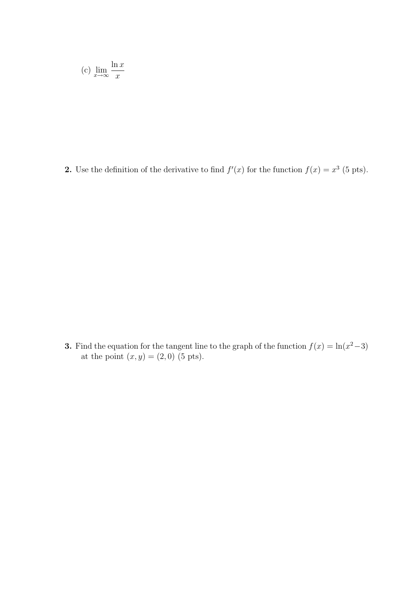(c) 
$$
\lim_{x \to \infty} \frac{\ln x}{x}
$$

2. Use the definition of the derivative to find  $f'(x)$  for the function  $f(x) = x^3$  (5 pts).

**3.** Find the equation for the tangent line to the graph of the function  $f(x) = \ln(x^2-3)$ at the point  $(x, y) = (2, 0)$  (5 pts).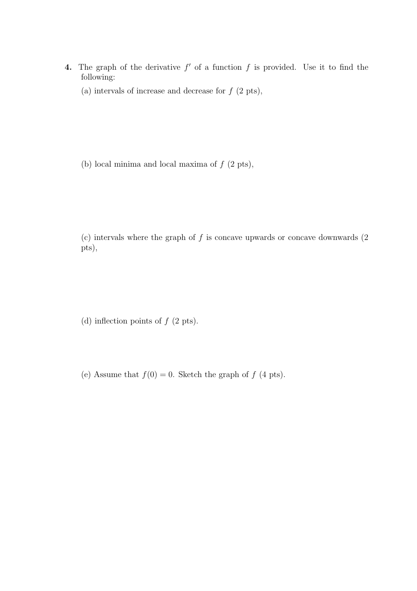- 4. The graph of the derivative  $f'$  of a function  $f$  is provided. Use it to find the following:
	- (a) intervals of increase and decrease for  $f(2 \text{ pts}),$

(b) local minima and local maxima of  $f(2 \text{ pts}),$ 

(c) intervals where the graph of  $f$  is concave upwards or concave downwards  $(2)$ pts),

(d) inflection points of  $f(2 \text{ pts})$ .

(e) Assume that  $f(0) = 0$ . Sketch the graph of f (4 pts).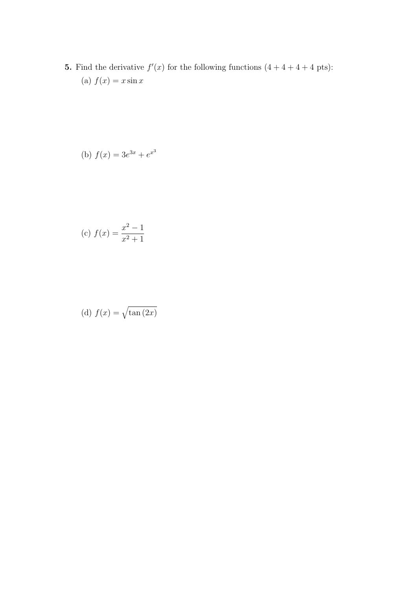**5.** Find the derivative  $f'(x)$  for the following functions  $(4 + 4 + 4 + 4)$  pts): (a)  $f(x) = x \sin x$ 

(b) 
$$
f(x) = 3e^{3x} + e^{x^3}
$$

(c) 
$$
f(x) = \frac{x^2 - 1}{x^2 + 1}
$$

(d) 
$$
f(x) = \sqrt{\tan(2x)}
$$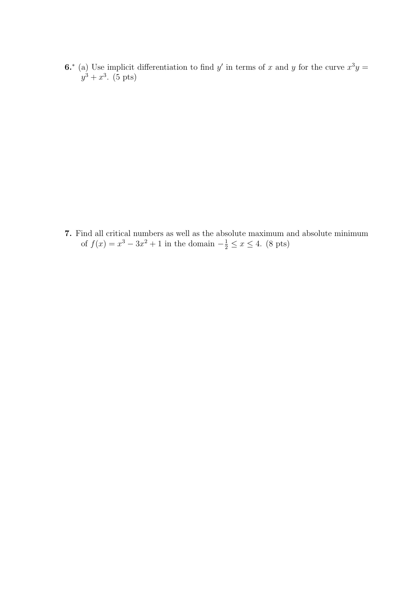6.<sup>\*</sup> (a) Use implicit differentiation to find y' in terms of x and y for the curve  $x^3y =$  $y^3 + x^3$ . (5 pts)

7. Find all critical numbers as well as the absolute maximum and absolute minimum of  $f(x) = x^3 - 3x^2 + 1$  in the domain  $-\frac{1}{2} \le x \le 4$ . (8 pts)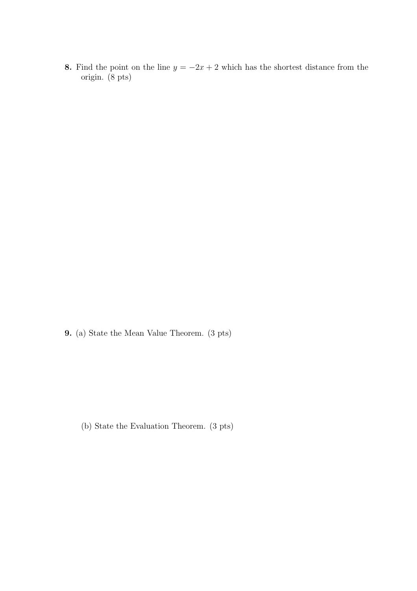8. Find the point on the line  $y = -2x + 2$  which has the shortest distance from the origin. (8 pts)

9. (a) State the Mean Value Theorem. (3 pts)

(b) State the Evaluation Theorem. (3 pts)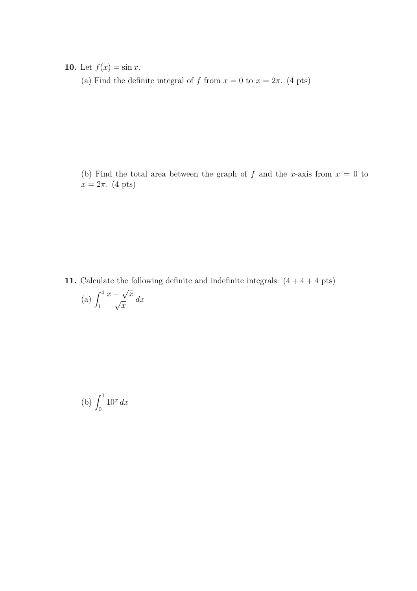**10.** Let  $f(x) = \sin x$ .

(a) Find the definite integral of f from  $x = 0$  to  $x = 2\pi$ . (4 pts)

(b) Find the total area between the graph of f and the x-axis from  $x = 0$  to  $x = 2\pi$ . (4 pts)

11. Calculate the following definite and indefinite integrals:  $(4 + 4 + 4$  pts) (a)  $\int_1^4$  $\bar{x}$  − √  $\frac{-\sqrt{x}}{2}$  $\overline{x}$  $dx$ 

(b) 
$$
\int_0^1 10^x dx
$$